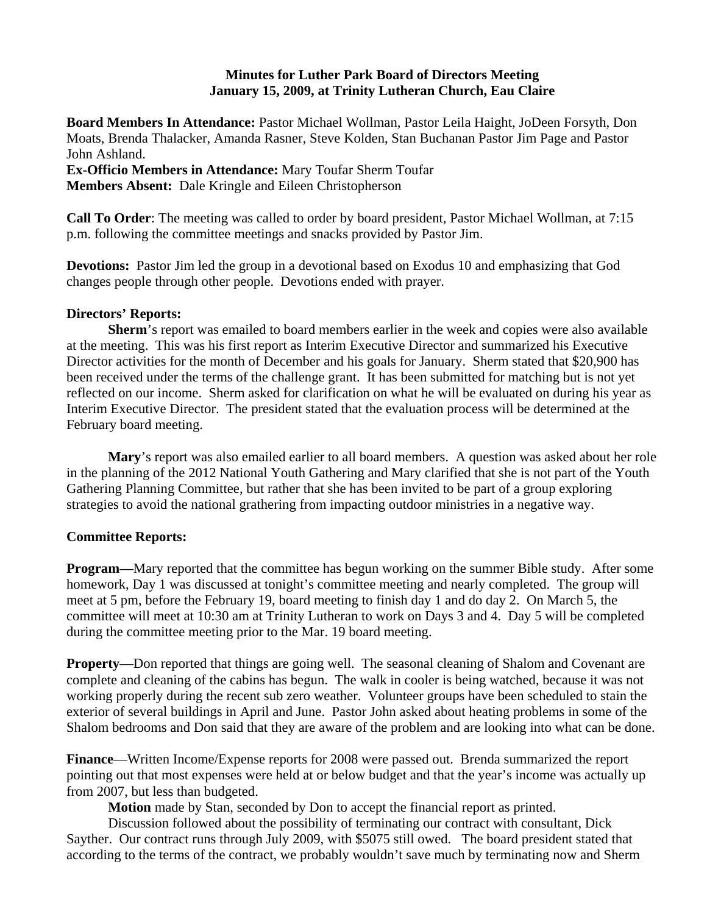## **Minutes for Luther Park Board of Directors Meeting January 15, 2009, at Trinity Lutheran Church, Eau Claire**

**Board Members In Attendance:** Pastor Michael Wollman, Pastor Leila Haight, JoDeen Forsyth, Don Moats, Brenda Thalacker, Amanda Rasner, Steve Kolden, Stan Buchanan Pastor Jim Page and Pastor John Ashland.

**Ex-Officio Members in Attendance:** Mary Toufar Sherm Toufar **Members Absent:** Dale Kringle and Eileen Christopherson

**Call To Order**: The meeting was called to order by board president, Pastor Michael Wollman, at 7:15 p.m. following the committee meetings and snacks provided by Pastor Jim.

**Devotions:** Pastor Jim led the group in a devotional based on Exodus 10 and emphasizing that God changes people through other people. Devotions ended with prayer.

## **Directors' Reports:**

**Sherm**'s report was emailed to board members earlier in the week and copies were also available at the meeting. This was his first report as Interim Executive Director and summarized his Executive Director activities for the month of December and his goals for January. Sherm stated that \$20,900 has been received under the terms of the challenge grant. It has been submitted for matching but is not yet reflected on our income. Sherm asked for clarification on what he will be evaluated on during his year as Interim Executive Director. The president stated that the evaluation process will be determined at the February board meeting.

**Mary**'s report was also emailed earlier to all board members. A question was asked about her role in the planning of the 2012 National Youth Gathering and Mary clarified that she is not part of the Youth Gathering Planning Committee, but rather that she has been invited to be part of a group exploring strategies to avoid the national grathering from impacting outdoor ministries in a negative way.

# **Committee Reports:**

**Program—Mary reported that the committee has begun working on the summer Bible study. After some** homework, Day 1 was discussed at tonight's committee meeting and nearly completed. The group will meet at 5 pm, before the February 19, board meeting to finish day 1 and do day 2. On March 5, the committee will meet at 10:30 am at Trinity Lutheran to work on Days 3 and 4. Day 5 will be completed during the committee meeting prior to the Mar. 19 board meeting.

**Property**—Don reported that things are going well. The seasonal cleaning of Shalom and Covenant are complete and cleaning of the cabins has begun. The walk in cooler is being watched, because it was not working properly during the recent sub zero weather. Volunteer groups have been scheduled to stain the exterior of several buildings in April and June. Pastor John asked about heating problems in some of the Shalom bedrooms and Don said that they are aware of the problem and are looking into what can be done.

**Finance**—Written Income/Expense reports for 2008 were passed out. Brenda summarized the report pointing out that most expenses were held at or below budget and that the year's income was actually up from 2007, but less than budgeted.

**Motion** made by Stan, seconded by Don to accept the financial report as printed.

Discussion followed about the possibility of terminating our contract with consultant, Dick Sayther. Our contract runs through July 2009, with \$5075 still owed. The board president stated that according to the terms of the contract, we probably wouldn't save much by terminating now and Sherm